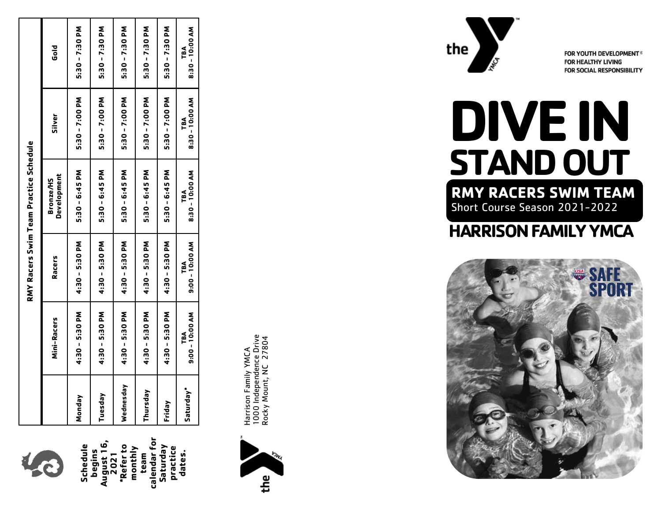

**Schedule begins August 16, 2021 \*Refer to monthly team calendar for Saturday** 

**practice dates.**

**RMY Racers Swim Team Practice Schedule**

|           |                        |                        | RMY Racers Swim Team Practice Schedule |                        |                        |
|-----------|------------------------|------------------------|----------------------------------------|------------------------|------------------------|
|           | Mini-Racers            | <b>Racers</b>          | Development<br>Bronze/HS               | <b>Silver</b>          | <b>Plop</b>            |
| Monday    | 4:30 - 5:30 PM         | 4:30 - 5:30 PM         | 5:30 - 6:45 PM                         | 5:30 - 7:00 PM         | 5:30 - 7:30 PM         |
| Tuesday   | 4:30 - 5:30 PM         | 4:30 - 5:30 PM         | 5:30 - 6:45 PM                         | 5:30 - 7:00 PM         | 5:30 - 7:30 PM         |
| Wednesday | 4:30 - 5:30 PM         | 4:30 - 5:30 PM         | 5:30 - 6:45 PM                         | 5:30 - 7:00 PM         | 5:30 - 7:30 PM         |
| Thursday  | 4:30 - 5:30 PM         | 4:30 - 5:30 PM         | 5:30 - 6:45 PM                         | 5:30 - 7:00 PM         | 5:30 - 7:30 PM         |
| Friday    | 4:30 - 5:30 PM         | 4:30 - 5:30 PM         | 5:30 - 6:45 PM                         | 5:30 - 7:00 PM         | 5:30 - 7:30 PM         |
| Saturday" | 9:00 - 10:00 AM<br>TBA | 9:00 - 10:00 AM<br>TBA | 8:30 - 10:00 AM<br>TBA                 | 8:30 - 10:00 AM<br>TBA | 8:30 - 10:00 AM<br>TBA |
|           |                        |                        |                                        |                        |                        |



1000 Independence Drive<br>Rocky Mount, NC 27804 1000 Independence Drive Rocky Mount, NC 27804 Harrison Family YMCA Harrison Family YMCA



FOR YOUTH DEVELOPMENT® **FOR HEALTHY LIVING FOR SOCIAL RESPONSIBILITY** 

# **DIVE IN STAND OUT RMY RACERS SWIM TEAM** Short Course Season 2021 -2022

## **HARRISON FAMILY YMCA**